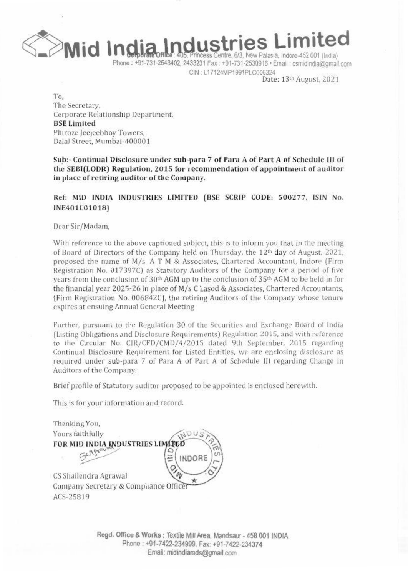

ndustries Limited

tcess Centre, 6/3, New Palasia, Indore-452 001 (India) Phone: +91-731-2543402, 2433231 Fax: +91-731-2530916 · Email: csmidindia@gmail.com CIN: L17124MP1991PLC006324

Date: 13th August, 2021

To. The Secretary. Corporate Relationship Department, **BSE Limited** Phiroze leejeebhoy Towers, Dalal Street, Mumbai-400001

Sub:- Continual Disclosure under sub-para 7 of Para A of Part A of Schedule III of the SEBI(LODR) Regulation, 2015 for recommendation of appointment of auditor in place of retiring auditor of the Company.

## Ref: MID INDIA INDUSTRIES LIMITED (BSE SCRIP CODE: 500277, ISIN No. INE401C01018)

Dear Sir/Madam,

With reference to the above captioned subject, this is to inform you that in the meeting of Board of Directors of the Company held on Thursday, the 12th day of August, 2021. proposed the name of M/s. A T M & Associates, Chartered Accountant, Indore (Firm Registration No. 017397C) as Statutory Auditors of the Company for a period of five years from the conclusion of 30<sup>th</sup> AGM up to the conclusion of 35<sup>th</sup> AGM to be held in for the financial vear 2025-26 in place of M/s C Lasod & Associates, Chartered Accountants, (Firm Registration No. 006842C), the retiring Auditors of the Company whose tenure expires at ensuing Annual General Meeting

Further, pursuant to the Regulation 30 of the Securities and Exchange Board of India (Listing Obligations and Disclosure Requirements) Regulation 2015, and with reference to the Circular No. CIR/CFD/CMD/4/2015 dated 9th September, 2015 regarding Continual Disclosure Requirement for Listed Entities, we are enclosing disclosure as required under sub-para 7 of Para A of Part A of Schedule III regarding Change in Auditors of the Company.

Brief profile of Statutory auditor proposed to be appointed is enclosed herewith.

This is for your information and record.

Thanking You,  $NDUS$ Yours faithfully FOR MID INDIA INDUSTRIES LIMITED INDORE CS Shailendra Agrawal Company Secretary & Compliance Officel ACS-25819